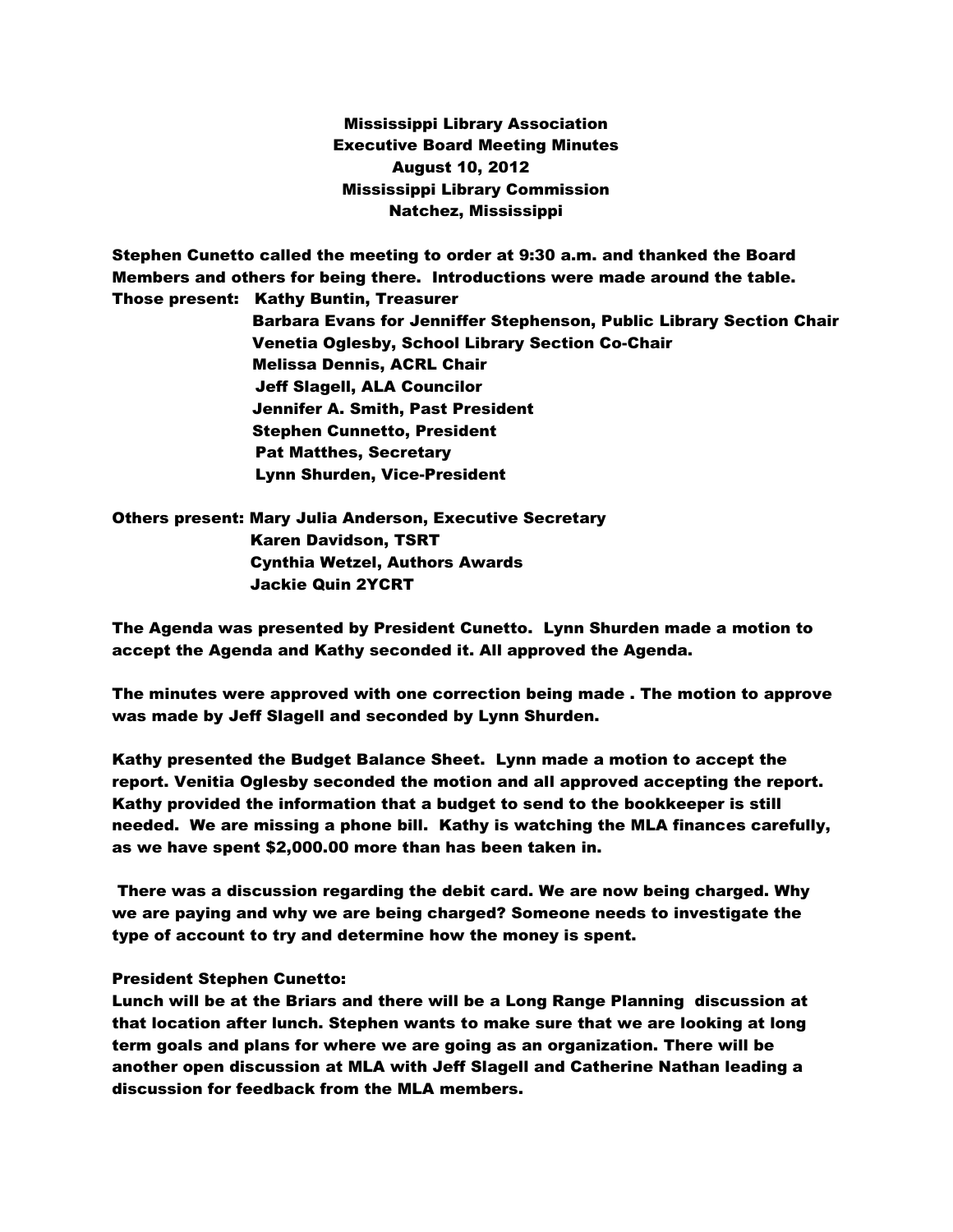Mississippi Library Association Executive Board Meeting Minutes August 10, 2012 Mississippi Library Commission Natchez, Mississippi

Stephen Cunetto called the meeting to order at 9:30 a.m. and thanked the Board Members and others for being there. Introductions were made around the table. Those present: Kathy Buntin, Treasurer Barbara Evans for Jenniffer Stephenson, Public Library Section Chair Venetia Oglesby, School Library Section Co-Chair

 Melissa Dennis, ACRL Chair Jeff Slagell, ALA Councilor Jennifer A. Smith, Past President Stephen Cunnetto, President Pat Matthes, Secretary Lynn Shurden, Vice-President

Others present: Mary Julia Anderson, Executive Secretary Karen Davidson, TSRT Cynthia Wetzel, Authors Awards Jackie Quin 2YCRT

The Agenda was presented by President Cunetto. Lynn Shurden made a motion to accept the Agenda and Kathy seconded it. All approved the Agenda.

The minutes were approved with one correction being made . The motion to approve was made by Jeff Slagell and seconded by Lynn Shurden.

Kathy presented the Budget Balance Sheet. Lynn made a motion to accept the report. Venitia Oglesby seconded the motion and all approved accepting the report. Kathy provided the information that a budget to send to the bookkeeper is still needed. We are missing a phone bill. Kathy is watching the MLA finances carefully, as we have spent \$2,000.00 more than has been taken in.

There was a discussion regarding the debit card. We are now being charged. Why we are paying and why we are being charged? Someone needs to investigate the type of account to try and determine how the money is spent.

## President Stephen Cunetto:

Lunch will be at the Briars and there will be a Long Range Planning discussion at that location after lunch. Stephen wants to make sure that we are looking at long term goals and plans for where we are going as an organization. There will be another open discussion at MLA with Jeff Slagell and Catherine Nathan leading a discussion for feedback from the MLA members.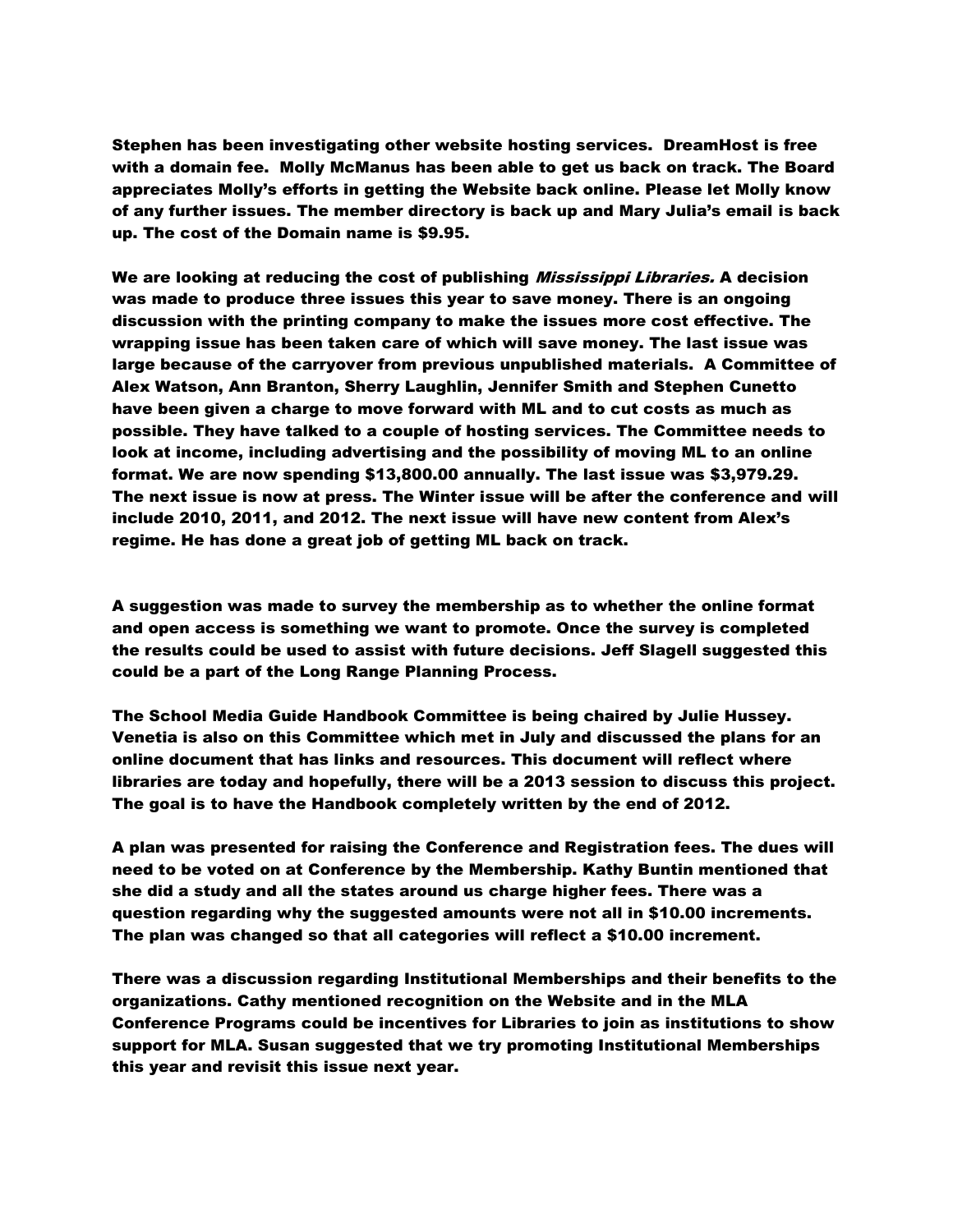Stephen has been investigating other website hosting services. DreamHost is free with a domain fee. Molly McManus has been able to get us back on track. The Board appreciates Molly's efforts in getting the Website back online. Please let Molly know of any further issues. The member directory is back up and Mary Julia's email is back up. The cost of the Domain name is \$9.95.

We are looking at reducing the cost of publishing *Mississippi Libraries.* A decision was made to produce three issues this year to save money. There is an ongoing discussion with the printing company to make the issues more cost effective. The wrapping issue has been taken care of which will save money. The last issue was large because of the carryover from previous unpublished materials. A Committee of Alex Watson, Ann Branton, Sherry Laughlin, Jennifer Smith and Stephen Cunetto have been given a charge to move forward with ML and to cut costs as much as possible. They have talked to a couple of hosting services. The Committee needs to look at income, including advertising and the possibility of moving ML to an online format. We are now spending \$13,800.00 annually. The last issue was \$3,979.29. The next issue is now at press. The Winter issue will be after the conference and will include 2010, 2011, and 2012. The next issue will have new content from Alex's regime. He has done a great job of getting ML back on track.

A suggestion was made to survey the membership as to whether the online format and open access is something we want to promote. Once the survey is completed the results could be used to assist with future decisions. Jeff Slagell suggested this could be a part of the Long Range Planning Process.

The School Media Guide Handbook Committee is being chaired by Julie Hussey. Venetia is also on this Committee which met in July and discussed the plans for an online document that has links and resources. This document will reflect where libraries are today and hopefully, there will be a 2013 session to discuss this project. The goal is to have the Handbook completely written by the end of 2012.

A plan was presented for raising the Conference and Registration fees. The dues will need to be voted on at Conference by the Membership. Kathy Buntin mentioned that she did a study and all the states around us charge higher fees. There was a question regarding why the suggested amounts were not all in \$10.00 increments. The plan was changed so that all categories will reflect a \$10.00 increment.

There was a discussion regarding Institutional Memberships and their benefits to the organizations. Cathy mentioned recognition on the Website and in the MLA Conference Programs could be incentives for Libraries to join as institutions to show support for MLA. Susan suggested that we try promoting Institutional Memberships this year and revisit this issue next year.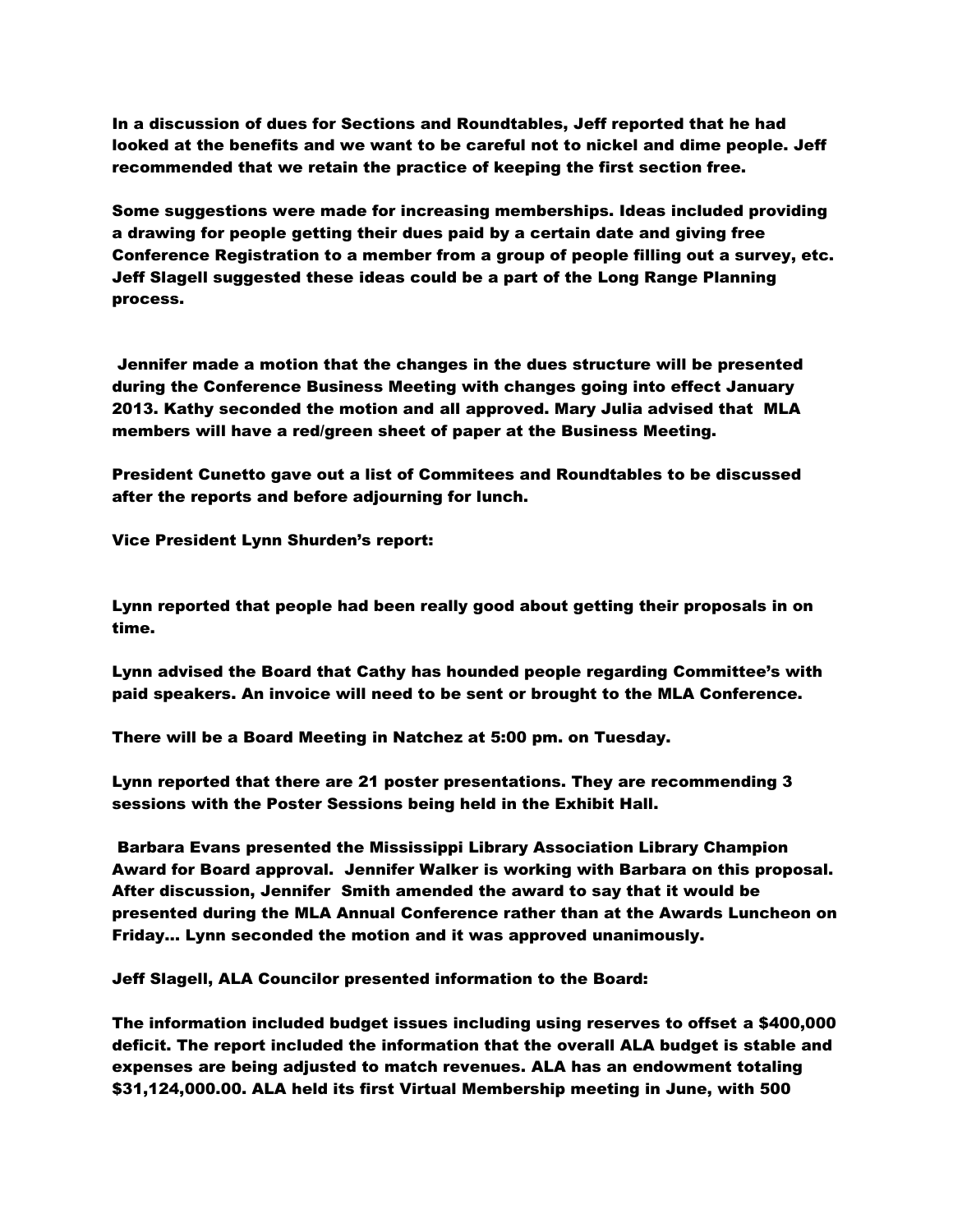In a discussion of dues for Sections and Roundtables, Jeff reported that he had looked at the benefits and we want to be careful not to nickel and dime people. Jeff recommended that we retain the practice of keeping the first section free.

Some suggestions were made for increasing memberships. Ideas included providing a drawing for people getting their dues paid by a certain date and giving free Conference Registration to a member from a group of people filling out a survey, etc. Jeff Slagell suggested these ideas could be a part of the Long Range Planning process.

Jennifer made a motion that the changes in the dues structure will be presented during the Conference Business Meeting with changes going into effect January 2013. Kathy seconded the motion and all approved. Mary Julia advised that MLA members will have a red/green sheet of paper at the Business Meeting.

President Cunetto gave out a list of Commitees and Roundtables to be discussed after the reports and before adjourning for lunch.

Vice President Lynn Shurden's report:

Lynn reported that people had been really good about getting their proposals in on time.

Lynn advised the Board that Cathy has hounded people regarding Committee's with paid speakers. An invoice will need to be sent or brought to the MLA Conference.

There will be a Board Meeting in Natchez at 5:00 pm. on Tuesday.

Lynn reported that there are 21 poster presentations. They are recommending 3 sessions with the Poster Sessions being held in the Exhibit Hall.

Barbara Evans presented the Mississippi Library Association Library Champion Award for Board approval. Jennifer Walker is working with Barbara on this proposal. After discussion, Jennifer Smith amended the award to say that it would be presented during the MLA Annual Conference rather than at the Awards Luncheon on Friday… Lynn seconded the motion and it was approved unanimously.

Jeff Slagell, ALA Councilor presented information to the Board:

The information included budget issues including using reserves to offset a \$400,000 deficit. The report included the information that the overall ALA budget is stable and expenses are being adjusted to match revenues. ALA has an endowment totaling \$31,124,000.00. ALA held its first Virtual Membership meeting in June, with 500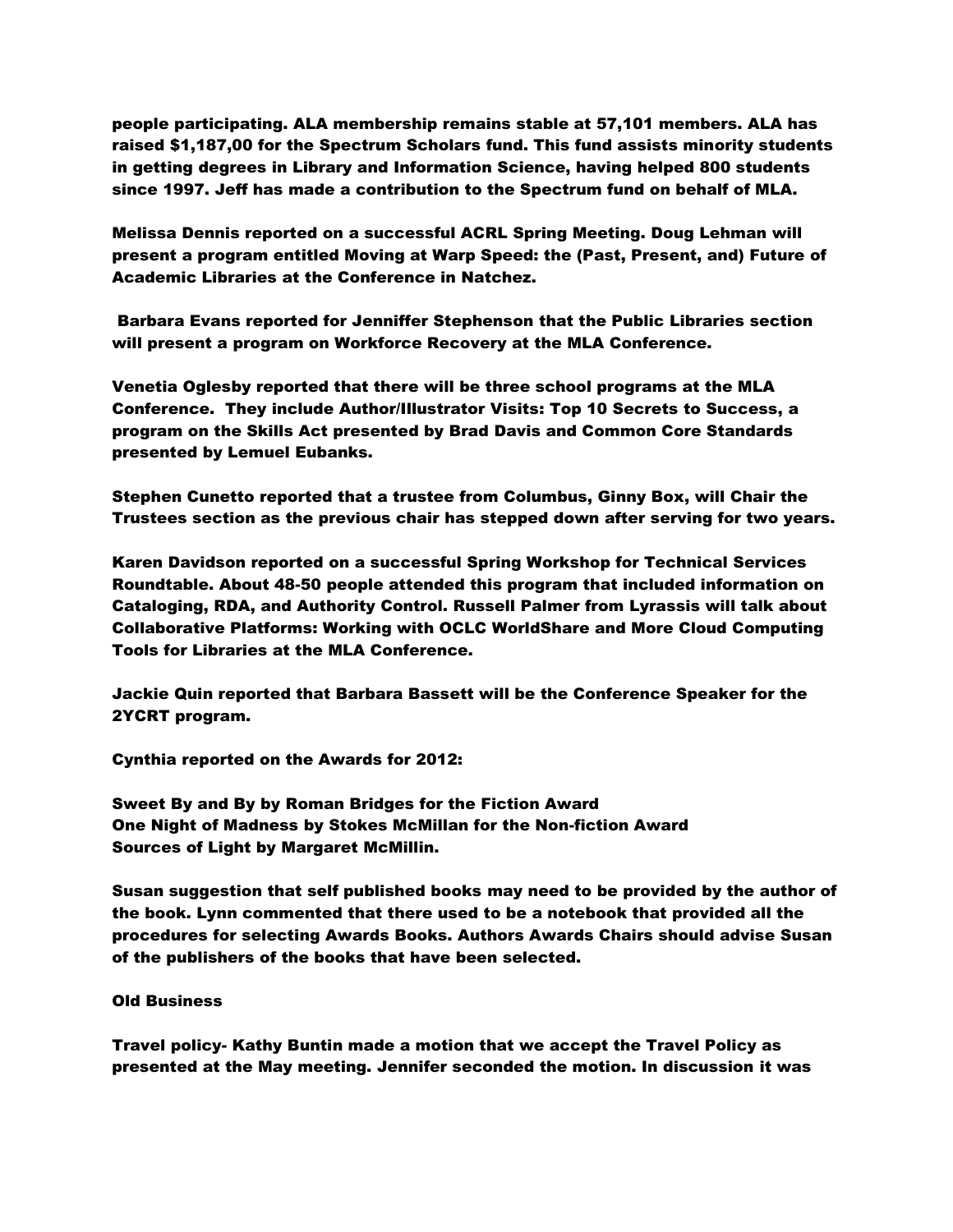people participating. ALA membership remains stable at 57,101 members. ALA has raised \$1,187,00 for the Spectrum Scholars fund. This fund assists minority students in getting degrees in Library and Information Science, having helped 800 students since 1997. Jeff has made a contribution to the Spectrum fund on behalf of MLA.

Melissa Dennis reported on a successful ACRL Spring Meeting. Doug Lehman will present a program entitled Moving at Warp Speed: the (Past, Present, and) Future of Academic Libraries at the Conference in Natchez.

Barbara Evans reported for Jenniffer Stephenson that the Public Libraries section will present a program on Workforce Recovery at the MLA Conference.

Venetia Oglesby reported that there will be three school programs at the MLA Conference. They include Author/Illustrator Visits: Top 10 Secrets to Success, a program on the Skills Act presented by Brad Davis and Common Core Standards presented by Lemuel Eubanks.

Stephen Cunetto reported that a trustee from Columbus, Ginny Box, will Chair the Trustees section as the previous chair has stepped down after serving for two years.

Karen Davidson reported on a successful Spring Workshop for Technical Services Roundtable. About 48-50 people attended this program that included information on Cataloging, RDA, and Authority Control. Russell Palmer from Lyrassis will talk about Collaborative Platforms: Working with OCLC WorldShare and More Cloud Computing Tools for Libraries at the MLA Conference.

Jackie Quin reported that Barbara Bassett will be the Conference Speaker for the 2YCRT program.

Cynthia reported on the Awards for 2012:

Sweet By and By by Roman Bridges for the Fiction Award One Night of Madness by Stokes McMillan for the Non-fiction Award Sources of Light by Margaret McMillin.

Susan suggestion that self published books may need to be provided by the author of the book. Lynn commented that there used to be a notebook that provided all the procedures for selecting Awards Books. Authors Awards Chairs should advise Susan of the publishers of the books that have been selected.

## Old Business

Travel policy- Kathy Buntin made a motion that we accept the Travel Policy as presented at the May meeting. Jennifer seconded the motion. In discussion it was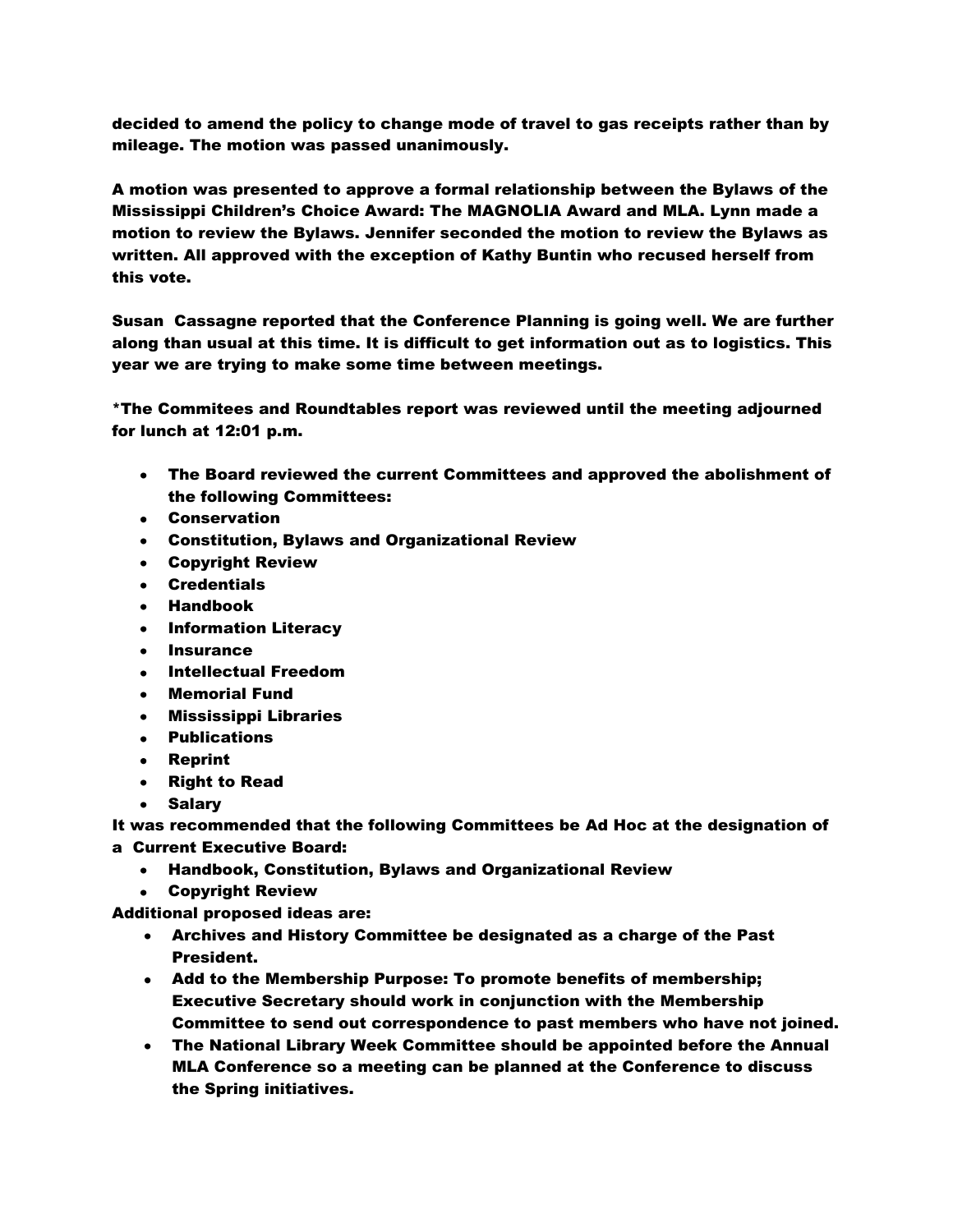decided to amend the policy to change mode of travel to gas receipts rather than by mileage. The motion was passed unanimously.

A motion was presented to approve a formal relationship between the Bylaws of the Mississippi Children's Choice Award: The MAGNOLIA Award and MLA. Lynn made a motion to review the Bylaws. Jennifer seconded the motion to review the Bylaws as written. All approved with the exception of Kathy Buntin who recused herself from this vote.

Susan Cassagne reported that the Conference Planning is going well. We are further along than usual at this time. It is difficult to get information out as to logistics. This year we are trying to make some time between meetings.

\*The Commitees and Roundtables report was reviewed until the meeting adjourned for lunch at 12:01 p.m.

- The Board reviewed the current Committees and approved the abolishment of the following Committees:
- Conservation
- Constitution, Bylaws and Organizational Review
- Copyright Review
- Credentials
- Handbook
- **•** Information Literacy
- **Insurance**  $\bullet$
- Intellectual Freedom
- Memorial Fund
- Mississippi Libraries
- Publications
- Reprint
- Right to Read
- Salary

It was recommended that the following Committees be Ad Hoc at the designation of a Current Executive Board:

- Handbook, Constitution, Bylaws and Organizational Review
- Copyright Review

Additional proposed ideas are:

- Archives and History Committee be designated as a charge of the Past President.
- Add to the Membership Purpose: To promote benefits of membership; Executive Secretary should work in conjunction with the Membership Committee to send out correspondence to past members who have not joined.
- The National Library Week Committee should be appointed before the Annual MLA Conference so a meeting can be planned at the Conference to discuss the Spring initiatives.